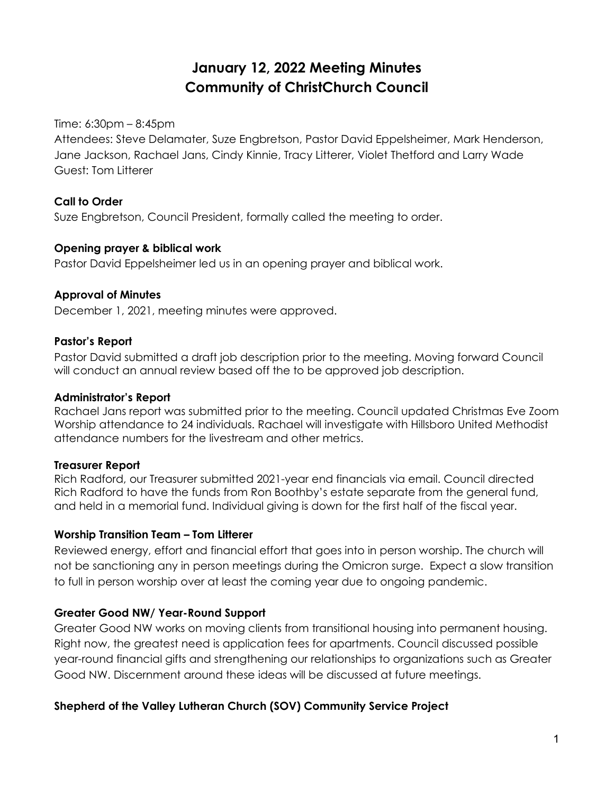# **January 12, 2022 Meeting Minutes Community of ChristChurch Council**

Time: 6:30pm – 8:45pm

Attendees: Steve Delamater, Suze Engbretson, Pastor David Eppelsheimer, Mark Henderson, Jane Jackson, Rachael Jans, Cindy Kinnie, Tracy Litterer, Violet Thetford and Larry Wade Guest: Tom Litterer

# **Call to Order**

Suze Engbretson, Council President, formally called the meeting to order.

#### **Opening prayer & biblical work**

Pastor David Eppelsheimer led us in an opening prayer and biblical work.

# **Approval of Minutes**

December 1, 2021, meeting minutes were approved.

# **Pastor's Report**

Pastor David submitted a draft job description prior to the meeting. Moving forward Council will conduct an annual review based off the to be approved job description.

#### **Administrator's Report**

Rachael Jans report was submitted prior to the meeting. Council updated Christmas Eve Zoom Worship attendance to 24 individuals. Rachael will investigate with Hillsboro United Methodist attendance numbers for the livestream and other metrics.

#### **Treasurer Report**

Rich Radford, our Treasurer submitted 2021-year end financials via email. Council directed Rich Radford to have the funds from Ron Boothby's estate separate from the general fund, and held in a memorial fund. Individual giving is down for the first half of the fiscal year.

#### **Worship Transition Team – Tom Litterer**

Reviewed energy, effort and financial effort that goes into in person worship. The church will not be sanctioning any in person meetings during the Omicron surge. Expect a slow transition to full in person worship over at least the coming year due to ongoing pandemic.

# **Greater Good NW/ Year-Round Support**

Greater Good NW works on moving clients from transitional housing into permanent housing. Right now, the greatest need is application fees for apartments. Council discussed possible year-round financial gifts and strengthening our relationships to organizations such as Greater Good NW. Discernment around these ideas will be discussed at future meetings.

# **Shepherd of the Valley Lutheran Church (SOV) Community Service Project**